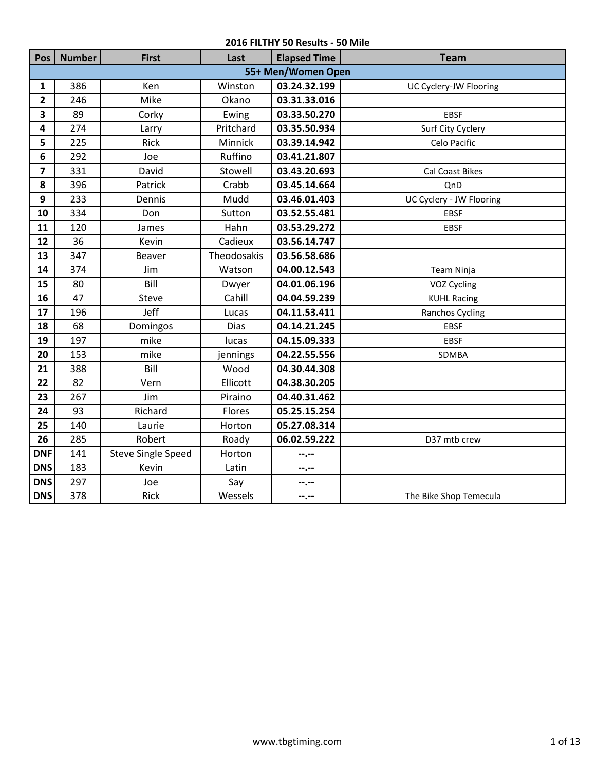| Pos                     | <b>Number</b>      | <b>First</b>              | Last        | <b>Elapsed Time</b> | <b>Team</b>              |  |  |  |
|-------------------------|--------------------|---------------------------|-------------|---------------------|--------------------------|--|--|--|
|                         | 55+ Men/Women Open |                           |             |                     |                          |  |  |  |
| $\mathbf{1}$            | 386                | Ken                       | Winston     | 03.24.32.199        | UC Cyclery-JW Flooring   |  |  |  |
| $\overline{2}$          | 246                | Mike                      | Okano       | 03.31.33.016        |                          |  |  |  |
| $\overline{\mathbf{3}}$ | 89                 | Corky                     | Ewing       | 03.33.50.270        | <b>EBSF</b>              |  |  |  |
| 4                       | 274                | Larry                     | Pritchard   | 03.35.50.934        | Surf City Cyclery        |  |  |  |
| 5                       | 225                | Rick                      | Minnick     | 03.39.14.942        | Celo Pacific             |  |  |  |
| 6                       | 292                | Joe                       | Ruffino     | 03.41.21.807        |                          |  |  |  |
| $\overline{\mathbf{z}}$ | 331                | David                     | Stowell     | 03.43.20.693        | <b>Cal Coast Bikes</b>   |  |  |  |
| 8                       | 396                | Patrick                   | Crabb       | 03.45.14.664        | QnD                      |  |  |  |
| 9                       | 233                | Dennis                    | Mudd        | 03.46.01.403        | UC Cyclery - JW Flooring |  |  |  |
| 10                      | 334                | Don                       | Sutton      | 03.52.55.481        | <b>EBSF</b>              |  |  |  |
| 11                      | 120                | James                     | Hahn        | 03.53.29.272        | <b>EBSF</b>              |  |  |  |
| 12                      | 36                 | Kevin                     | Cadieux     | 03.56.14.747        |                          |  |  |  |
| 13                      | 347                | Beaver                    | Theodosakis | 03.56.58.686        |                          |  |  |  |
| 14                      | 374                | Jim                       | Watson      | 04.00.12.543        | Team Ninja               |  |  |  |
| 15                      | 80                 | Bill                      | Dwyer       | 04.01.06.196        | VOZ Cycling              |  |  |  |
| 16                      | 47                 | <b>Steve</b>              | Cahill      | 04.04.59.239        | <b>KUHL Racing</b>       |  |  |  |
| 17                      | 196                | Jeff                      | Lucas       | 04.11.53.411        | Ranchos Cycling          |  |  |  |
| 18                      | 68                 | Domingos                  | <b>Dias</b> | 04.14.21.245        | <b>EBSF</b>              |  |  |  |
| 19                      | 197                | mike                      | lucas       | 04.15.09.333        | <b>EBSF</b>              |  |  |  |
| 20                      | 153                | mike                      | jennings    | 04.22.55.556        | SDMBA                    |  |  |  |
| 21                      | 388                | Bill                      | Wood        | 04.30.44.308        |                          |  |  |  |
| 22                      | 82                 | Vern                      | Ellicott    | 04.38.30.205        |                          |  |  |  |
| 23                      | 267                | Jim                       | Piraino     | 04.40.31.462        |                          |  |  |  |
| 24                      | 93                 | Richard                   | Flores      | 05.25.15.254        |                          |  |  |  |
| 25                      | 140                | Laurie                    | Horton      | 05.27.08.314        |                          |  |  |  |
| 26                      | 285                | Robert                    | Roady       | 06.02.59.222        | D37 mtb crew             |  |  |  |
| <b>DNF</b>              | 141                | <b>Steve Single Speed</b> | Horton      | --.--               |                          |  |  |  |
| <b>DNS</b>              | 183                | Kevin                     | Latin       | $-1 - 1$            |                          |  |  |  |
| <b>DNS</b>              | 297                | Joe                       | Say         | $-1 - 1 - 1 = 0$    |                          |  |  |  |
| <b>DNS</b>              | 378                | Rick                      | Wessels     | --.--               | The Bike Shop Temecula   |  |  |  |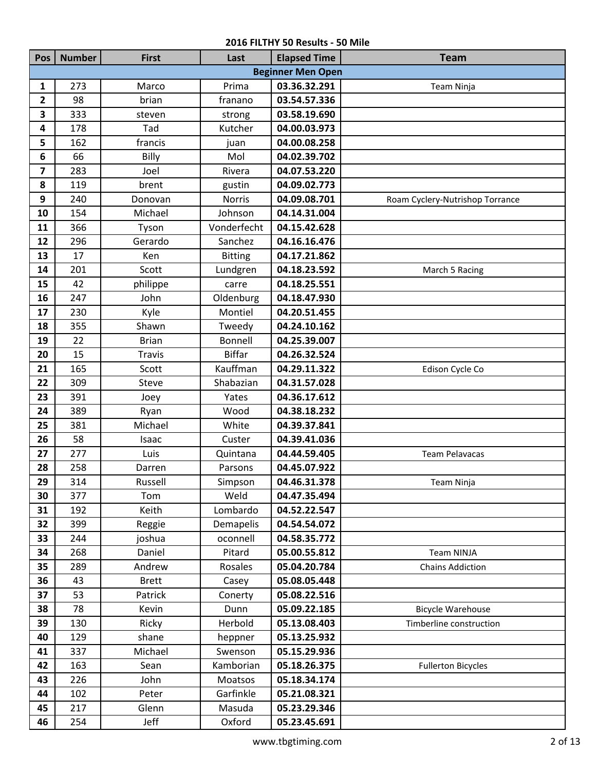| Pos                     | <b>Number</b> | <b>First</b>  | Last           | <b>Elapsed Time</b>      | <b>Team</b>                     |
|-------------------------|---------------|---------------|----------------|--------------------------|---------------------------------|
|                         |               |               |                | <b>Beginner Men Open</b> |                                 |
| $\mathbf{1}$            | 273           | Marco         | Prima          | 03.36.32.291             | Team Ninja                      |
| $\overline{2}$          | 98            | brian         | franano        | 03.54.57.336             |                                 |
| 3                       | 333           | steven        | strong         | 03.58.19.690             |                                 |
| 4                       | 178           | Tad           | Kutcher        | 04.00.03.973             |                                 |
| 5                       | 162           | francis       | juan           | 04.00.08.258             |                                 |
| 6                       | 66            | Billy         | Mol            | 04.02.39.702             |                                 |
| $\overline{\mathbf{z}}$ | 283           | Joel          | Rivera         | 04.07.53.220             |                                 |
| 8                       | 119           | brent         | gustin         | 04.09.02.773             |                                 |
| 9                       | 240           | Donovan       | <b>Norris</b>  | 04.09.08.701             | Roam Cyclery-Nutrishop Torrance |
| 10                      | 154           | Michael       | Johnson        | 04.14.31.004             |                                 |
| 11                      | 366           | Tyson         | Vonderfecht    | 04.15.42.628             |                                 |
| 12                      | 296           | Gerardo       | Sanchez        | 04.16.16.476             |                                 |
| 13                      | 17            | Ken           | <b>Bitting</b> | 04.17.21.862             |                                 |
| 14                      | 201           | Scott         | Lundgren       | 04.18.23.592             | March 5 Racing                  |
| 15                      | 42            | philippe      | carre          | 04.18.25.551             |                                 |
| 16                      | 247           | John          | Oldenburg      | 04.18.47.930             |                                 |
| 17                      | 230           | Kyle          | Montiel        | 04.20.51.455             |                                 |
| 18                      | 355           | Shawn         | Tweedy         | 04.24.10.162             |                                 |
| 19                      | 22            | <b>Brian</b>  | <b>Bonnell</b> | 04.25.39.007             |                                 |
| 20                      | 15            | <b>Travis</b> | <b>Biffar</b>  | 04.26.32.524             |                                 |
| 21                      | 165           | Scott         | Kauffman       | 04.29.11.322             | Edison Cycle Co                 |
| 22                      | 309           | <b>Steve</b>  | Shabazian      | 04.31.57.028             |                                 |
| 23                      | 391           | Joey          | Yates          | 04.36.17.612             |                                 |
| 24                      | 389           | Ryan          | Wood           | 04.38.18.232             |                                 |
| 25                      | 381           | Michael       | White          | 04.39.37.841             |                                 |
| 26                      | 58            | Isaac         | Custer         | 04.39.41.036             |                                 |
| 27                      | 277           | Luis          | Quintana       | 04.44.59.405             | <b>Team Pelavacas</b>           |
| 28                      | 258           | Darren        | Parsons        | 04.45.07.922             |                                 |
| 29                      | 314           | Russell       | Simpson        | 04.46.31.378             | Team Ninja                      |
| 30                      | 377           | Tom           | Weld           | 04.47.35.494             |                                 |
| 31                      | 192           | Keith         | Lombardo       | 04.52.22.547             |                                 |
| 32                      | 399           | Reggie        | Demapelis      | 04.54.54.072             |                                 |
| 33                      | 244           | joshua        | oconnell       | 04.58.35.772             |                                 |
| 34                      | 268           | Daniel        | Pitard         | 05.00.55.812             | Team NINJA                      |
| 35                      | 289           | Andrew        | Rosales        | 05.04.20.784             | <b>Chains Addiction</b>         |
| 36                      | 43            | <b>Brett</b>  | Casey          | 05.08.05.448             |                                 |
| 37                      | 53            | Patrick       | Conerty        | 05.08.22.516             |                                 |
| 38                      | 78            | Kevin         | Dunn           | 05.09.22.185             | <b>Bicycle Warehouse</b>        |
| 39                      | 130           | Ricky         | Herbold        | 05.13.08.403             | Timberline construction         |
| 40                      | 129           | shane         | heppner        | 05.13.25.932             |                                 |
| 41                      | 337           | Michael       | Swenson        | 05.15.29.936             |                                 |
| 42                      | 163           | Sean          | Kamborian      | 05.18.26.375             | <b>Fullerton Bicycles</b>       |
| 43                      | 226           | John          | Moatsos        | 05.18.34.174             |                                 |
| 44                      | 102           | Peter         | Garfinkle      | 05.21.08.321             |                                 |
| 45                      | 217           | Glenn         | Masuda         | 05.23.29.346             |                                 |
| 46                      | 254           | Jeff          | Oxford         | 05.23.45.691             |                                 |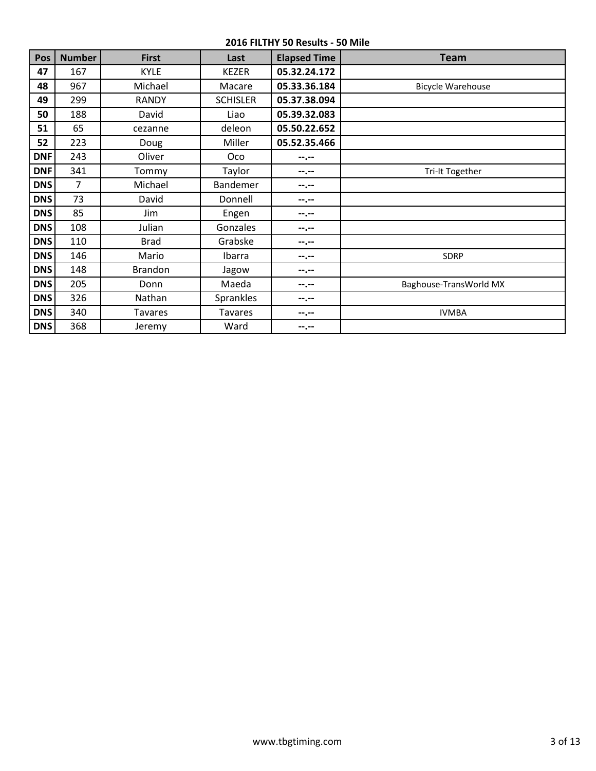| Pos        | <b>Number</b> | <b>First</b>   | Last            | <b>Elapsed Time</b> | Team                     |
|------------|---------------|----------------|-----------------|---------------------|--------------------------|
| 47         | 167           | <b>KYLE</b>    | <b>KEZER</b>    | 05.32.24.172        |                          |
| 48         | 967           | Michael        | Macare          | 05.33.36.184        | <b>Bicycle Warehouse</b> |
| 49         | 299           | <b>RANDY</b>   | <b>SCHISLER</b> | 05.37.38.094        |                          |
| 50         | 188           | David          | Liao            | 05.39.32.083        |                          |
| 51         | 65            | cezanne        | deleon          | 05.50.22.652        |                          |
| 52         | 223           | Doug           | Miller          | 05.52.35.466        |                          |
| <b>DNF</b> | 243           | Oliver         | Oco             | --.--               |                          |
| <b>DNF</b> | 341           | Tommy          | Taylor          | --.--               | Tri-It Together          |
| <b>DNS</b> | 7             | Michael        | Bandemer        | --.--               |                          |
| <b>DNS</b> | 73            | David          | Donnell         | --.--               |                          |
| <b>DNS</b> | 85            | Jim            | Engen           | $- - - - -$         |                          |
| <b>DNS</b> | 108           | Julian         | Gonzales        | $- - - - -$         |                          |
| <b>DNS</b> | 110           | <b>Brad</b>    | Grabske         | $- - - - -$         |                          |
| <b>DNS</b> | 146           | Mario          | Ibarra          | --.--               | <b>SDRP</b>              |
| <b>DNS</b> | 148           | Brandon        | Jagow           | --.--               |                          |
| <b>DNS</b> | 205           | Donn           | Maeda           | --.--               | Baghouse-TransWorld MX   |
| <b>DNS</b> | 326           | Nathan         | Sprankles       | --.--               |                          |
| <b>DNS</b> | 340           | <b>Tavares</b> | <b>Tavares</b>  | $-1 - 1 - 1 = 0$    | <b>IVMBA</b>             |
| <b>DNS</b> | 368           | Jeremy         | Ward            | --.--               |                          |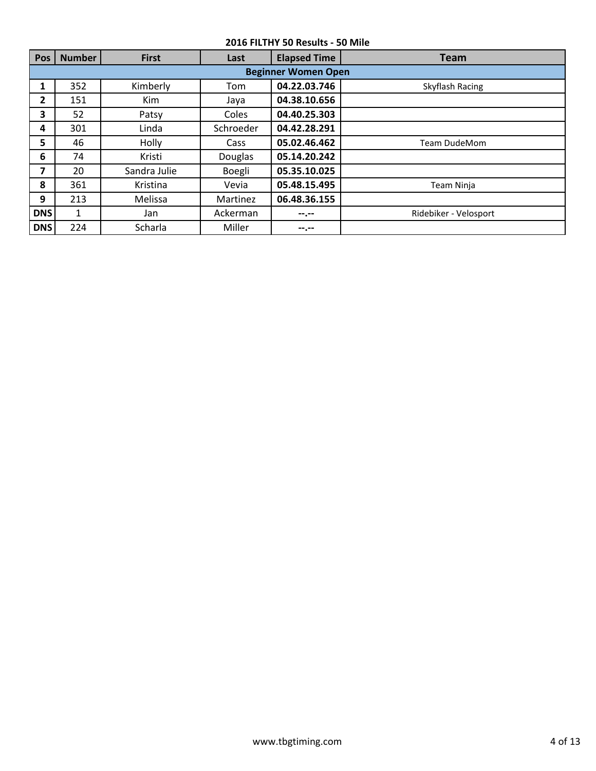| <b>Pos</b> | <b>Number</b>              | <b>First</b> | Last      | <b>Elapsed Time</b> | <b>Team</b>           |  |  |  |  |
|------------|----------------------------|--------------|-----------|---------------------|-----------------------|--|--|--|--|
|            | <b>Beginner Women Open</b> |              |           |                     |                       |  |  |  |  |
| 1          | 352                        | Kimberly     | Tom       | 04.22.03.746        | Skyflash Racing       |  |  |  |  |
| 2          | 151                        | <b>Kim</b>   | Jaya      | 04.38.10.656        |                       |  |  |  |  |
| 3          | 52                         | Patsy        | Coles     | 04.40.25.303        |                       |  |  |  |  |
| 4          | 301                        | Linda        | Schroeder | 04.42.28.291        |                       |  |  |  |  |
| 5          | 46                         | Holly        | Cass      | 05.02.46.462        | <b>Team DudeMom</b>   |  |  |  |  |
| 6          | 74                         | Kristi       | Douglas   | 05.14.20.242        |                       |  |  |  |  |
| 7          | 20                         | Sandra Julie | Boegli    | 05.35.10.025        |                       |  |  |  |  |
| 8          | 361                        | Kristina     | Vevia     | 05.48.15.495        | Team Ninja            |  |  |  |  |
| 9          | 213                        | Melissa      | Martinez  | 06.48.36.155        |                       |  |  |  |  |
| <b>DNS</b> | 1                          | Jan          | Ackerman  | --.--               | Ridebiker - Velosport |  |  |  |  |
| <b>DNS</b> | 224                        | Scharla      | Miller    | --.--               |                       |  |  |  |  |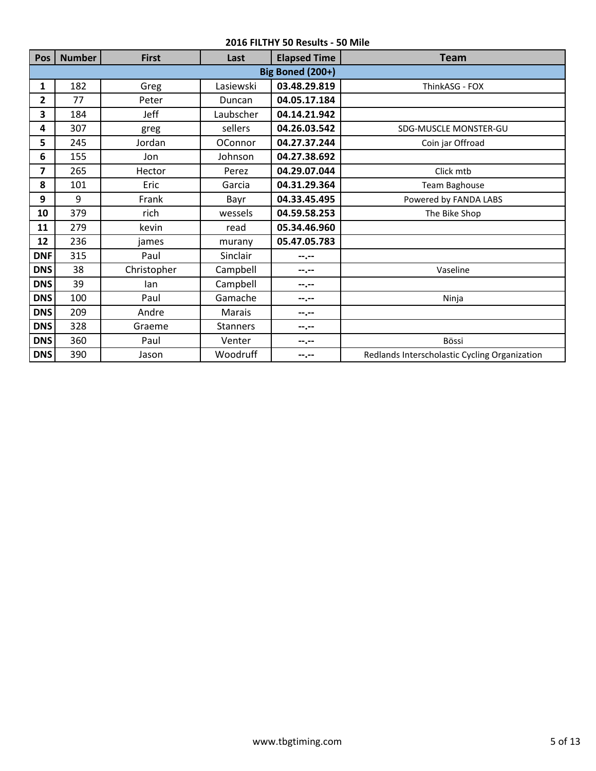| Pos            | <b>Number</b> | <b>First</b> | Last            | <b>Elapsed Time</b>     | <b>Team</b>                                   |
|----------------|---------------|--------------|-----------------|-------------------------|-----------------------------------------------|
|                |               |              |                 | <b>Big Boned (200+)</b> |                                               |
| 1              | 182           | Greg         | Lasiewski       | 03.48.29.819            | ThinkASG - FOX                                |
| $\mathbf{2}$   | 77            | Peter        | Duncan          | 04.05.17.184            |                                               |
| 3              | 184           | Jeff         | Laubscher       | 04.14.21.942            |                                               |
| 4              | 307           | greg         | sellers         | 04.26.03.542            | SDG-MUSCLE MONSTER-GU                         |
| 5              | 245           | Jordan       | OConnor         | 04.27.37.244            | Coin jar Offroad                              |
| 6              | 155           | Jon          | Johnson         | 04.27.38.692            |                                               |
| $\overline{ }$ | 265           | Hector       | Perez           | 04.29.07.044            | Click mtb                                     |
| 8              | 101           | Eric         | Garcia          | 04.31.29.364            | Team Baghouse                                 |
| 9              | 9             | Frank        | Bayr            | 04.33.45.495            | Powered by FANDA LABS                         |
| 10             | 379           | rich         | wessels         | 04.59.58.253            | The Bike Shop                                 |
| 11             | 279           | kevin        | read            | 05.34.46.960            |                                               |
| 12             | 236           | james        | murany          | 05.47.05.783            |                                               |
| <b>DNF</b>     | 315           | Paul         | Sinclair        | --.--                   |                                               |
| <b>DNS</b>     | 38            | Christopher  | Campbell        | --.--                   | Vaseline                                      |
| <b>DNS</b>     | 39            | lan          | Campbell        | --.--                   |                                               |
| <b>DNS</b>     | 100           | Paul         | Gamache         | --.--                   | Ninja                                         |
| <b>DNS</b>     | 209           | Andre        | Marais          | $-1 - 1 - 1 = 0$        |                                               |
| <b>DNS</b>     | 328           | Graeme       | <b>Stanners</b> | --.--                   |                                               |
| <b>DNS</b>     | 360           | Paul         | Venter          | --.--                   | Bössi                                         |
| <b>DNS</b>     | 390           | Jason        | Woodruff        | $- - - - -$             | Redlands Interscholastic Cycling Organization |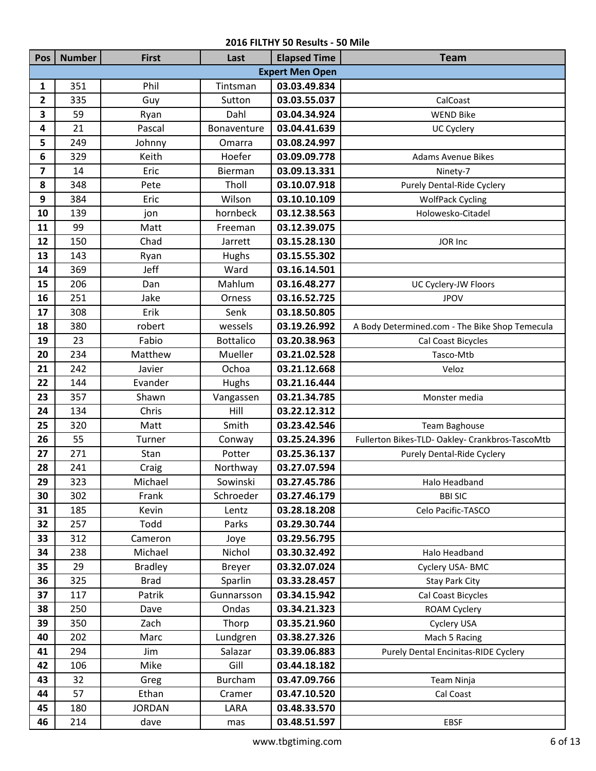| Pos                     | <b>Number</b> | <b>First</b>   | Last             | <b>Elapsed Time</b>    | <b>Team</b>                                     |
|-------------------------|---------------|----------------|------------------|------------------------|-------------------------------------------------|
|                         |               |                |                  | <b>Expert Men Open</b> |                                                 |
| $\mathbf{1}$            | 351           | Phil           | Tintsman         | 03.03.49.834           |                                                 |
| 2                       | 335           | Guy            | Sutton           | 03.03.55.037           | CalCoast                                        |
| 3                       | 59            | Ryan           | Dahl             | 03.04.34.924           | <b>WEND Bike</b>                                |
| 4                       | 21            | Pascal         | Bonaventure      | 03.04.41.639           | UC Cyclery                                      |
| 5                       | 249           | Johnny         | Omarra           | 03.08.24.997           |                                                 |
| 6                       | 329           | Keith          | Hoefer           | 03.09.09.778           | <b>Adams Avenue Bikes</b>                       |
| $\overline{\mathbf{z}}$ | 14            | Eric           | Bierman          | 03.09.13.331           | Ninety-7                                        |
| 8                       | 348           | Pete           | Tholl            | 03.10.07.918           | Purely Dental-Ride Cyclery                      |
| 9                       | 384           | Eric           | Wilson           | 03.10.10.109           | <b>WolfPack Cycling</b>                         |
| 10                      | 139           | jon            | hornbeck         | 03.12.38.563           | Holowesko-Citadel                               |
| 11                      | 99            | Matt           | Freeman          | 03.12.39.075           |                                                 |
| 12                      | 150           | Chad           | Jarrett          | 03.15.28.130           | JOR Inc                                         |
| 13                      | 143           | Ryan           | Hughs            | 03.15.55.302           |                                                 |
| 14                      | 369           | Jeff           | Ward             | 03.16.14.501           |                                                 |
| 15                      | 206           | Dan            | Mahlum           | 03.16.48.277           | UC Cyclery-JW Floors                            |
| 16                      | 251           | Jake           | Orness           | 03.16.52.725           | <b>JPOV</b>                                     |
| 17                      | 308           | Erik           | Senk             | 03.18.50.805           |                                                 |
| 18                      | 380           | robert         | wessels          | 03.19.26.992           | A Body Determined.com - The Bike Shop Temecula  |
| 19                      | 23            | Fabio          | <b>Bottalico</b> | 03.20.38.963           | Cal Coast Bicycles                              |
| 20                      | 234           | Matthew        | Mueller          | 03.21.02.528           | Tasco-Mtb                                       |
| 21                      | 242           | Javier         | Ochoa            | 03.21.12.668           | Veloz                                           |
| 22                      | 144           | Evander        | Hughs            | 03.21.16.444           |                                                 |
| 23                      | 357           | Shawn          | Vangassen        | 03.21.34.785           | Monster media                                   |
| 24                      | 134           | Chris          | Hill             | 03.22.12.312           |                                                 |
| 25                      | 320           | Matt           | Smith            | 03.23.42.546           | Team Baghouse                                   |
| 26                      | 55            | Turner         | Conway           | 03.25.24.396           | Fullerton Bikes-TLD- Oakley- Crankbros-TascoMtb |
| 27                      | 271           | Stan           | Potter           | 03.25.36.137           | Purely Dental-Ride Cyclery                      |
| 28                      | 241           | Craig          | Northway         | 03.27.07.594           |                                                 |
| 29                      | 323           | Michael        | Sowinski         | 03.27.45.786           | Halo Headband                                   |
| 30                      | 302           | Frank          | Schroeder        | 03.27.46.179           | <b>BBI SIC</b>                                  |
| 31                      | 185           | Kevin          | Lentz            | 03.28.18.208           | Celo Pacific-TASCO                              |
| 32                      | 257           | Todd           | Parks            | 03.29.30.744           |                                                 |
| 33                      | 312           | Cameron        | Joye             | 03.29.56.795           |                                                 |
| 34                      | 238           | Michael        | Nichol           | 03.30.32.492           | Halo Headband                                   |
| 35                      | 29            | <b>Bradley</b> | <b>Breyer</b>    | 03.32.07.024           | Cyclery USA-BMC                                 |
| 36                      | 325           | <b>Brad</b>    | Sparlin          | 03.33.28.457           | Stay Park City                                  |
| 37                      | 117           | Patrik         | Gunnarsson       | 03.34.15.942           | Cal Coast Bicycles                              |
| 38                      | 250           | Dave           | Ondas            | 03.34.21.323           | ROAM Cyclery                                    |
| 39                      | 350           | Zach           | Thorp            | 03.35.21.960           | Cyclery USA                                     |
| 40                      | 202           | Marc           | Lundgren         | 03.38.27.326           | Mach 5 Racing                                   |
| 41                      | 294           | Jim            | Salazar          | 03.39.06.883           | Purely Dental Encinitas-RIDE Cyclery            |
| 42                      | 106           | Mike           | Gill             | 03.44.18.182           |                                                 |
| 43                      | 32            | Greg           | <b>Burcham</b>   | 03.47.09.766           | Team Ninja                                      |
| 44                      | 57            | Ethan          | Cramer           | 03.47.10.520           | Cal Coast                                       |
| 45                      | 180           | <b>JORDAN</b>  | LARA             | 03.48.33.570           |                                                 |
| 46                      | 214           | dave           | mas              | 03.48.51.597           | <b>EBSF</b>                                     |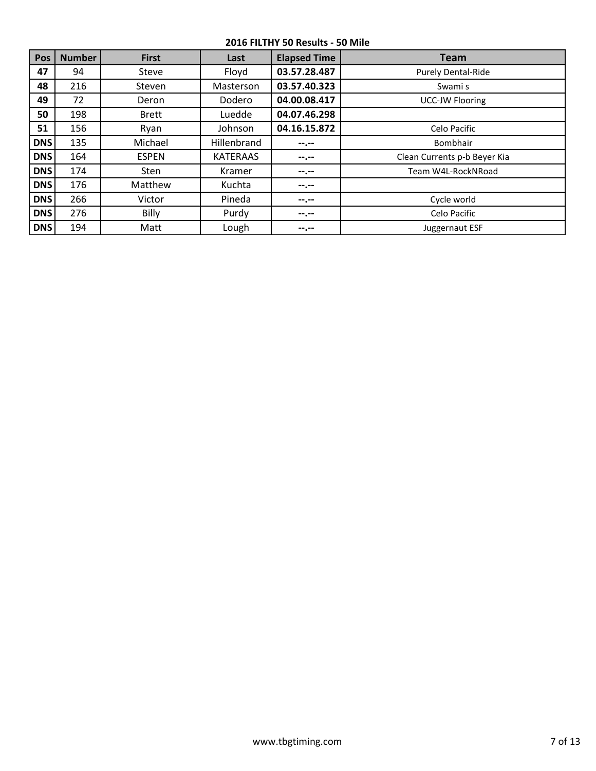| Pos        | <b>Number</b> | <b>First</b> | Last            | <b>Elapsed Time</b> | <b>Team</b>                  |
|------------|---------------|--------------|-----------------|---------------------|------------------------------|
| 47         | 94            | Steve        | Floyd           | 03.57.28.487        | <b>Purely Dental-Ride</b>    |
| 48         | 216           | Steven       | Masterson       | 03.57.40.323        | Swami s                      |
| 49         | 72            | Deron        | Dodero          | 04.00.08.417        | <b>UCC-JW Flooring</b>       |
| 50         | 198           | <b>Brett</b> | Luedde          | 04.07.46.298        |                              |
| 51         | 156           | Ryan         | Johnson         | 04.16.15.872        | Celo Pacific                 |
| <b>DNS</b> | 135           | Michael      | Hillenbrand     | $- - - - -$         | Bombhair                     |
| <b>DNS</b> | 164           | <b>ESPEN</b> | <b>KATERAAS</b> | --.--               | Clean Currents p-b Beyer Kia |
| <b>DNS</b> | 174           | <b>Sten</b>  | Kramer          | --.--               | Team W4L-RockNRoad           |
| <b>DNS</b> | 176           | Matthew      | Kuchta          | --.--               |                              |
| <b>DNS</b> | 266           | Victor       | Pineda          | --.--               | Cycle world                  |
| <b>DNS</b> | 276           | Billy        | Purdy           | --.--               | Celo Pacific                 |
| <b>DNS</b> | 194           | Matt         | Lough           | --.--               | Juggernaut ESF               |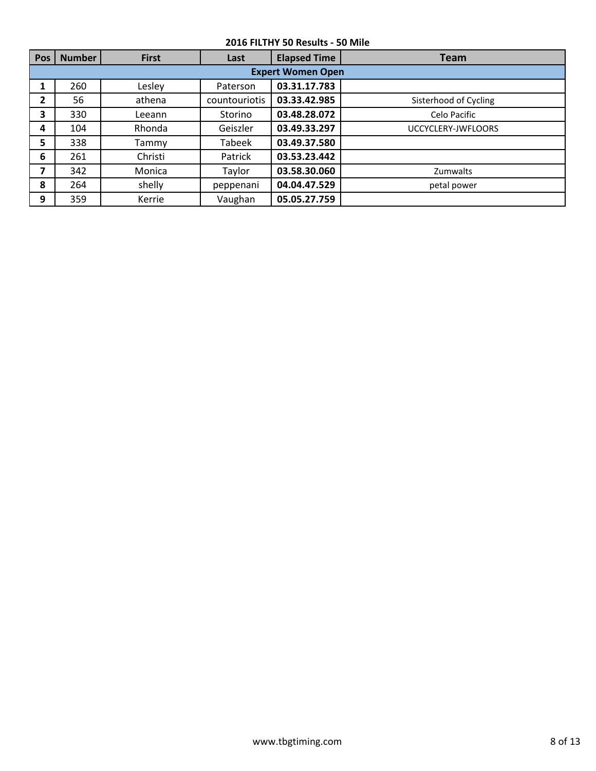| <b>Pos</b>     | <b>Number</b>            | <b>First</b> | Last          | <b>Elapsed Time</b> | <b>Team</b>           |  |  |  |  |  |
|----------------|--------------------------|--------------|---------------|---------------------|-----------------------|--|--|--|--|--|
|                | <b>Expert Women Open</b> |              |               |                     |                       |  |  |  |  |  |
| 1              | 260                      | Lesley       | Paterson      | 03.31.17.783        |                       |  |  |  |  |  |
| $\overline{2}$ | 56                       | athena       | countouriotis | 03.33.42.985        | Sisterhood of Cycling |  |  |  |  |  |
| 3              | 330                      | Leeann       | Storino       | 03.48.28.072        | Celo Pacific          |  |  |  |  |  |
| 4              | 104                      | Rhonda       | Geiszler      | 03.49.33.297        | UCCYCLERY-JWFLOORS    |  |  |  |  |  |
| 5              | 338                      | Tammy        | Tabeek        | 03.49.37.580        |                       |  |  |  |  |  |
| 6              | 261                      | Christi      | Patrick       | 03.53.23.442        |                       |  |  |  |  |  |
| 7              | 342                      | Monica       | Taylor        | 03.58.30.060        | Zumwalts              |  |  |  |  |  |
| 8              | 264                      | shelly       | peppenani     | 04.04.47.529        | petal power           |  |  |  |  |  |
| 9              | 359                      | Kerrie       | Vaughan       | 05.05.27.759        |                       |  |  |  |  |  |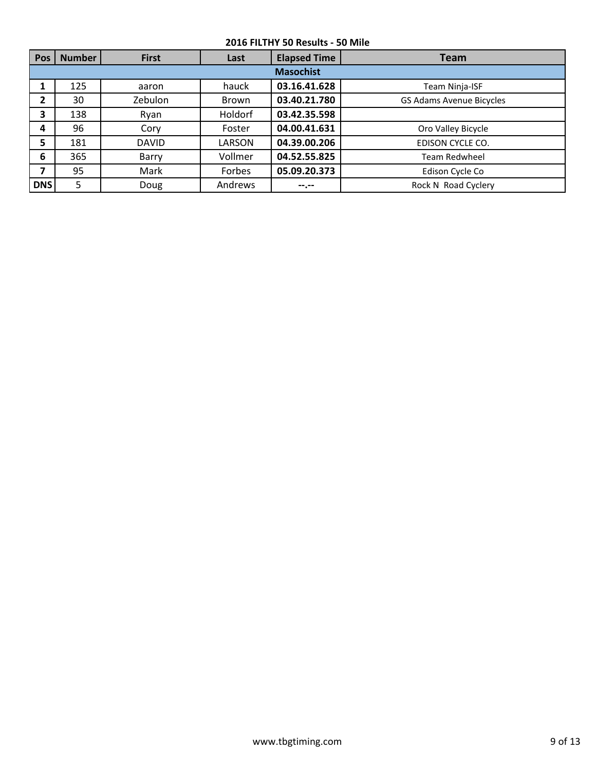| <b>Pos</b>   | <b>Number</b>    | <b>First</b> | Last    | <b>Elapsed Time</b> | <b>Team</b>                     |  |  |  |  |  |
|--------------|------------------|--------------|---------|---------------------|---------------------------------|--|--|--|--|--|
|              | <b>Masochist</b> |              |         |                     |                                 |  |  |  |  |  |
|              | 125              | aaron        | hauck   | 03.16.41.628        | <b>Team Ninja-ISF</b>           |  |  |  |  |  |
| $\mathbf{2}$ | 30               | Zebulon      | Brown   | 03.40.21.780        | <b>GS Adams Avenue Bicycles</b> |  |  |  |  |  |
| 3            | 138              | Ryan         | Holdorf | 03.42.35.598        |                                 |  |  |  |  |  |
| 4            | 96               | Cory         | Foster  | 04.00.41.631        | Oro Valley Bicycle              |  |  |  |  |  |
| 5            | 181              | <b>DAVID</b> | LARSON  | 04.39.00.206        | EDISON CYCLE CO.                |  |  |  |  |  |
| 6            | 365              | Barry        | Vollmer | 04.52.55.825        | <b>Team Redwheel</b>            |  |  |  |  |  |
| 7            | 95               | Mark         | Forbes  | 05.09.20.373        | Edison Cycle Co                 |  |  |  |  |  |
| <b>DNS</b>   | 5                | Doug         | Andrews | --.--               | Rock N Road Cyclery             |  |  |  |  |  |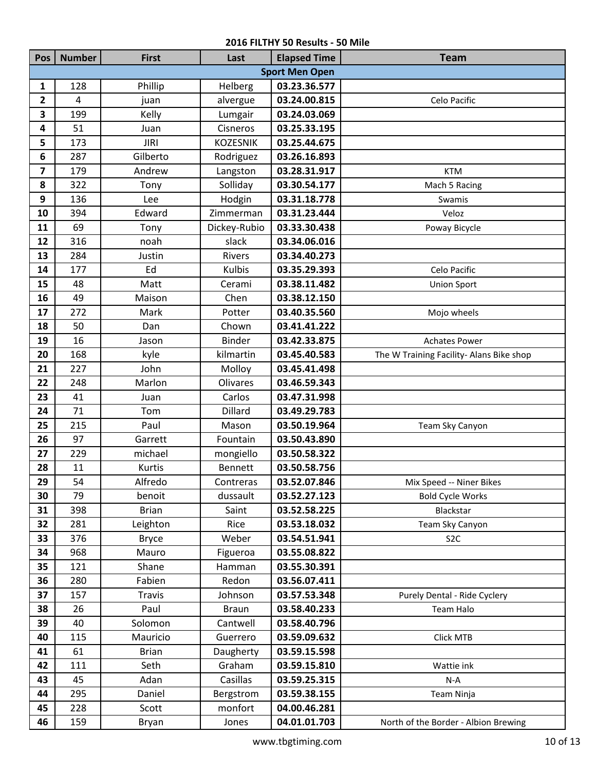| Pos                     | <b>Number</b>  | <b>First</b>  | Last            | <b>Elapsed Time</b>   | <b>Team</b>                              |
|-------------------------|----------------|---------------|-----------------|-----------------------|------------------------------------------|
|                         |                |               |                 | <b>Sport Men Open</b> |                                          |
| 1                       | 128            | Phillip       | Helberg         | 03.23.36.577          |                                          |
| 2                       | $\overline{4}$ | juan          | alvergue        | 03.24.00.815          | Celo Pacific                             |
| 3                       | 199            | Kelly         | Lumgair         | 03.24.03.069          |                                          |
| 4                       | 51             | Juan          | Cisneros        | 03.25.33.195          |                                          |
| 5                       | 173            | <b>JIRI</b>   | <b>KOZESNIK</b> | 03.25.44.675          |                                          |
| 6                       | 287            | Gilberto      | Rodriguez       | 03.26.16.893          |                                          |
| $\overline{\mathbf{z}}$ | 179            | Andrew        | Langston        | 03.28.31.917          | <b>KTM</b>                               |
| 8                       | 322            | Tony          | Solliday        | 03.30.54.177          | Mach 5 Racing                            |
| 9                       | 136            | Lee           | Hodgin          | 03.31.18.778          | Swamis                                   |
| 10                      | 394            | Edward        | Zimmerman       | 03.31.23.444          | Veloz                                    |
| 11                      | 69             | Tony          | Dickey-Rubio    | 03.33.30.438          | Poway Bicycle                            |
| 12                      | 316            | noah          | slack           | 03.34.06.016          |                                          |
| 13                      | 284            | Justin        | Rivers          | 03.34.40.273          |                                          |
| 14                      | 177            | Ed            | <b>Kulbis</b>   | 03.35.29.393          | Celo Pacific                             |
| 15                      | 48             | Matt          | Cerami          | 03.38.11.482          | <b>Union Sport</b>                       |
| 16                      | 49             | Maison        | Chen            | 03.38.12.150          |                                          |
| 17                      | 272            | Mark          | Potter          | 03.40.35.560          | Mojo wheels                              |
| 18                      | 50             | Dan           | Chown           | 03.41.41.222          |                                          |
| 19                      | 16             | Jason         | Binder          | 03.42.33.875          | <b>Achates Power</b>                     |
| 20                      | 168            | kyle          | kilmartin       | 03.45.40.583          | The W Training Facility- Alans Bike shop |
| 21                      | 227            | John          | Molloy          | 03.45.41.498          |                                          |
| 22                      | 248            | Marlon        | <b>Olivares</b> | 03.46.59.343          |                                          |
| 23                      | 41             | Juan          | Carlos          | 03.47.31.998          |                                          |
| 24                      | 71             | Tom           | Dillard         | 03.49.29.783          |                                          |
| 25                      | 215            | Paul          | Mason           | 03.50.19.964          | Team Sky Canyon                          |
| 26                      | 97             | Garrett       | Fountain        | 03.50.43.890          |                                          |
| 27                      | 229            | michael       | mongiello       | 03.50.58.322          |                                          |
| 28                      | 11             | Kurtis        | <b>Bennett</b>  | 03.50.58.756          |                                          |
| 29                      | 54             | Alfredo       | Contreras       | 03.52.07.846          | Mix Speed -- Niner Bikes                 |
| 30                      | 79             | benoit        | dussault        | 03.52.27.123          | <b>Bold Cycle Works</b>                  |
| 31                      | 398            | <b>Brian</b>  | Saint           | 03.52.58.225          | Blackstar                                |
| 32                      | 281            | Leighton      | Rice            | 03.53.18.032          | Team Sky Canyon                          |
| 33                      | 376            | <b>Bryce</b>  | Weber           | 03.54.51.941          | S <sub>2</sub> C                         |
| 34                      | 968            | Mauro         | Figueroa        | 03.55.08.822          |                                          |
| 35                      | 121            | Shane         | Hamman          | 03.55.30.391          |                                          |
| 36                      | 280            | Fabien        | Redon           | 03.56.07.411          |                                          |
| 37                      | 157            | <b>Travis</b> | Johnson         | 03.57.53.348          | Purely Dental - Ride Cyclery             |
| 38                      | 26             | Paul          | <b>Braun</b>    | 03.58.40.233          | Team Halo                                |
| 39                      | 40             | Solomon       | Cantwell        | 03.58.40.796          |                                          |
| 40                      | 115            | Mauricio      | Guerrero        | 03.59.09.632          | Click MTB                                |
| 41                      | 61             | <b>Brian</b>  | Daugherty       | 03.59.15.598          |                                          |
| 42                      | 111            | Seth          | Graham          | 03.59.15.810          | Wattie ink                               |
| 43                      | 45             | Adan          | Casillas        | 03.59.25.315          | $N-A$                                    |
| 44                      | 295            | Daniel        | Bergstrom       | 03.59.38.155          | Team Ninja                               |
| 45                      | 228            | Scott         | monfort         | 04.00.46.281          |                                          |
| 46                      | 159            | Bryan         | Jones           | 04.01.01.703          | North of the Border - Albion Brewing     |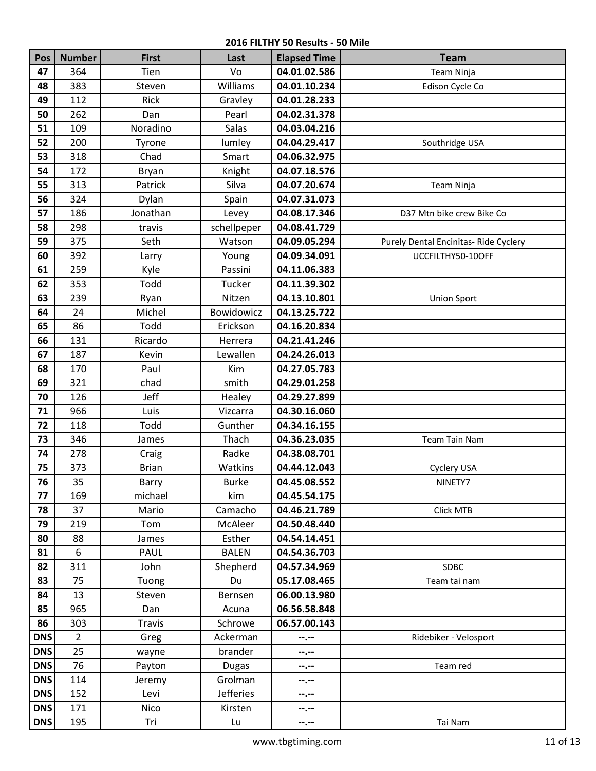| Pos        | <b>Number</b>  | <b>First</b>  | Last         | <b>Elapsed Time</b> | <b>Team</b>                          |
|------------|----------------|---------------|--------------|---------------------|--------------------------------------|
| 47         | 364            | Tien          | Vo           | 04.01.02.586        | Team Ninja                           |
| 48         | 383            | Steven        | Williams     | 04.01.10.234        | Edison Cycle Co                      |
| 49         | 112            | Rick          | Gravley      | 04.01.28.233        |                                      |
| 50         | 262            | Dan           | Pearl        | 04.02.31.378        |                                      |
| 51         | 109            | Noradino      | Salas        | 04.03.04.216        |                                      |
| 52         | 200            | Tyrone        | lumley       | 04.04.29.417        | Southridge USA                       |
| 53         | 318            | Chad          | Smart        | 04.06.32.975        |                                      |
| 54         | 172            | Bryan         | Knight       | 04.07.18.576        |                                      |
| 55         | 313            | Patrick       | Silva        | 04.07.20.674        | Team Ninja                           |
| 56         | 324            | Dylan         | Spain        | 04.07.31.073        |                                      |
| 57         | 186            | Jonathan      | Levey        | 04.08.17.346        | D37 Mtn bike crew Bike Co            |
| 58         | 298            | travis        | schellpeper  | 04.08.41.729        |                                      |
| 59         | 375            | Seth          | Watson       | 04.09.05.294        | Purely Dental Encinitas-Ride Cyclery |
| 60         | 392            | Larry         | Young        | 04.09.34.091        | UCCFILTHY50-10OFF                    |
| 61         | 259            | Kyle          | Passini      | 04.11.06.383        |                                      |
| 62         | 353            | Todd          | Tucker       | 04.11.39.302        |                                      |
| 63         | 239            | Ryan          | Nitzen       | 04.13.10.801        | <b>Union Sport</b>                   |
| 64         | 24             | Michel        | Bowidowicz   | 04.13.25.722        |                                      |
| 65         | 86             | Todd          | Erickson     | 04.16.20.834        |                                      |
| 66         | 131            | Ricardo       | Herrera      | 04.21.41.246        |                                      |
| 67         | 187            | Kevin         | Lewallen     | 04.24.26.013        |                                      |
| 68         | 170            | Paul          | Kim          | 04.27.05.783        |                                      |
| 69         | 321            | chad          | smith        | 04.29.01.258        |                                      |
| 70         | 126            | Jeff          | Healey       | 04.29.27.899        |                                      |
| 71         | 966            | Luis          | Vizcarra     | 04.30.16.060        |                                      |
| 72         | 118            | Todd          | Gunther      | 04.34.16.155        |                                      |
| 73         | 346            | James         | Thach        | 04.36.23.035        | Team Tain Nam                        |
| 74         | 278            | Craig         | Radke        | 04.38.08.701        |                                      |
| 75         | 373            | <b>Brian</b>  | Watkins      | 04.44.12.043        | Cyclery USA                          |
| 76         | 35             | Barry         | <b>Burke</b> | 04.45.08.552        | NINETY7                              |
| 77         | 169            | michael       | kim          | 04.45.54.175        |                                      |
| 78         | 37             | Mario         | Camacho      | 04.46.21.789        | Click MTB                            |
| 79         | 219            | Tom           | McAleer      | 04.50.48.440        |                                      |
| 80         | 88             | James         | Esther       | 04.54.14.451        |                                      |
| 81         | 6              | PAUL          | <b>BALEN</b> | 04.54.36.703        |                                      |
| 82         | 311            | John          | Shepherd     | 04.57.34.969        | SDBC                                 |
| 83         | 75             | Tuong         | Du           | 05.17.08.465        | Team tai nam                         |
| 84         | 13             | Steven        | Bernsen      | 06.00.13.980        |                                      |
| 85         | 965            | Dan           | Acuna        | 06.56.58.848        |                                      |
| 86         | 303            | <b>Travis</b> | Schrowe      | 06.57.00.143        |                                      |
| <b>DNS</b> | $\overline{2}$ | Greg          | Ackerman     | $- - - - -$         | Ridebiker - Velosport                |
| <b>DNS</b> | 25             | wayne         | brander      | $-1 - 1 - 1 = 0$    |                                      |
| <b>DNS</b> | 76             | Payton        | <b>Dugas</b> | --.--               | Team red                             |
| <b>DNS</b> | 114            | Jeremy        | Grolman      | --.--               |                                      |
| DNS        | 152            | Levi          | Jefferies    | --.--               |                                      |
| DNS        | 171            | Nico          | Kirsten      | --.--               |                                      |
| DNS        | 195            | Tri           | Lu           | --.--               | Tai Nam                              |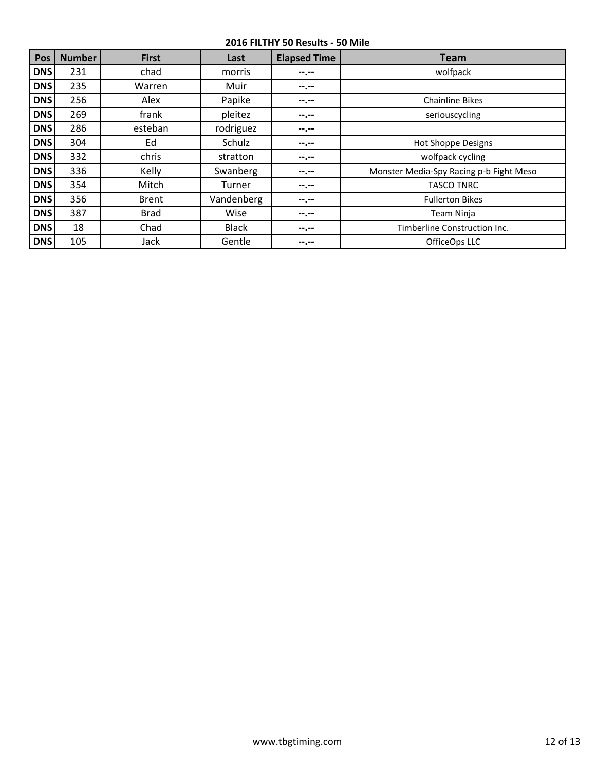| Pos        | <b>Number</b> | <b>First</b> | Last         | <b>Elapsed Time</b> | <b>Team</b>                             |
|------------|---------------|--------------|--------------|---------------------|-----------------------------------------|
| <b>DNS</b> | 231           | chad         | morris       | --.--               | wolfpack                                |
| <b>DNS</b> | 235           | Warren       | Muir         | --.--               |                                         |
| <b>DNS</b> | 256           | Alex         | Papike       | --.--               | <b>Chainline Bikes</b>                  |
| <b>DNS</b> | 269           | frank        | pleitez      | --.--               | seriouscycling                          |
| <b>DNS</b> | 286           | esteban      | rodriguez    | --.--               |                                         |
| <b>DNS</b> | 304           | Ed           | Schulz       | --.--               | <b>Hot Shoppe Designs</b>               |
| <b>DNS</b> | 332           | chris        | stratton     | --.--               | wolfpack cycling                        |
| <b>DNS</b> | 336           | Kelly        | Swanberg     | --.--               | Monster Media-Spy Racing p-b Fight Meso |
| <b>DNS</b> | 354           | Mitch        | Turner       | --.--               | <b>TASCO TNRC</b>                       |
| <b>DNS</b> | 356           | <b>Brent</b> | Vandenberg   | --.--               | <b>Fullerton Bikes</b>                  |
| <b>DNS</b> | 387           | <b>Brad</b>  | Wise         | --.--               | Team Ninja                              |
| <b>DNS</b> | 18            | Chad         | <b>Black</b> | --.--               | Timberline Construction Inc.            |
| <b>DNS</b> | 105           | Jack         | Gentle       | --.--               | OfficeOps LLC                           |